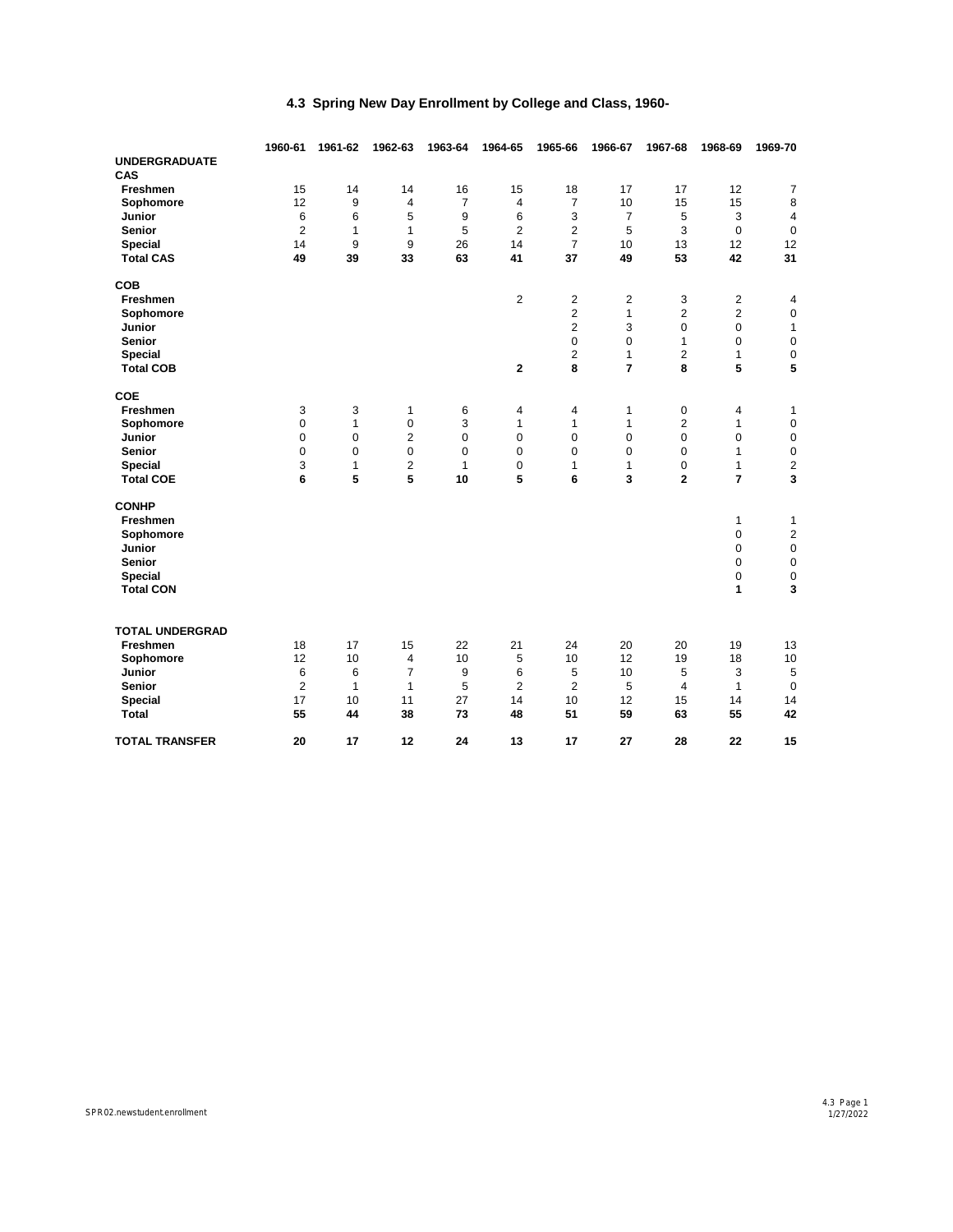|                        | 1960-61        | 1961-62      | 1962-63        | 1963-64        | 1964-65        | 1965-66        | 1966-67        | 1967-68        | 1968-69          | 1969-70        |
|------------------------|----------------|--------------|----------------|----------------|----------------|----------------|----------------|----------------|------------------|----------------|
| <b>UNDERGRADUATE</b>   |                |              |                |                |                |                |                |                |                  |                |
| CAS                    |                |              |                |                |                |                |                |                |                  |                |
| Freshmen               | 15             | 14           | 14             | 16             | 15             | 18             | 17             | 17             | 12               | 7              |
| Sophomore              | 12             | 9            | 4              | $\overline{7}$ | 4              | 7              | 10             | 15             | 15               | $\bf 8$        |
| Junior                 | 6              | 6            | 5              | 9              | 6              | 3              | $\overline{7}$ | 5              | 3<br>$\mathbf 0$ | $\overline{4}$ |
| Senior                 | $\overline{2}$ | 1            | 1              | 5              | $\overline{2}$ | $\overline{c}$ | 5              | 3              |                  | $\pmb{0}$      |
| <b>Special</b>         | 14             | 9            | 9              | 26             | 14             | 7              | 10             | 13             | 12               | 12             |
| <b>Total CAS</b>       | 49             | 39           | 33             | 63             | 41             | 37             | 49             | 53             | 42               | 31             |
| COB                    |                |              |                |                |                |                |                |                |                  |                |
| Freshmen               |                |              |                |                | 2              | $\overline{c}$ | 2              | 3              | $\overline{c}$   | 4              |
| Sophomore              |                |              |                |                |                | 2              | $\mathbf{1}$   | 2              | $\overline{2}$   | $\mathsf 0$    |
| <b>Junior</b>          |                |              |                |                |                | $\overline{2}$ | 3              | 0              | $\mathbf 0$      | 1              |
| Senior                 |                |              |                |                |                | 0              | 0              | 1              | $\mathbf 0$      | $\mathbf 0$    |
| <b>Special</b>         |                |              |                |                |                | $\overline{2}$ | $\mathbf{1}$   | $\overline{2}$ | $\mathbf{1}$     | $\pmb{0}$      |
| <b>Total COB</b>       |                |              |                |                | $\mathbf 2$    | 8              | $\overline{7}$ | 8              | 5                | 5              |
| COE                    |                |              |                |                |                |                |                |                |                  |                |
| Freshmen               | 3              | 3            | 1              | 6              | 4              | 4              | 1              | 0              | 4                | 1              |
| Sophomore              | 0              | $\mathbf{1}$ | 0              | 3              | $\mathbf{1}$   | 1              | $\mathbf{1}$   | $\overline{2}$ | $\mathbf{1}$     | $\pmb{0}$      |
| Junior                 | 0              | $\pmb{0}$    | 2              | $\mathbf 0$    | $\mathbf 0$    | 0              | 0              | $\mathbf 0$    | $\mathbf 0$      | $\pmb{0}$      |
| <b>Senior</b>          | 0              | $\mathbf 0$  | $\mathbf 0$    | $\mathbf 0$    | $\mathbf 0$    | 0              | 0              | 0              | $\mathbf{1}$     | $\pmb{0}$      |
| Special                | 3              | 1            | 2              | $\mathbf{1}$   | $\mathbf 0$    | 1              | $\mathbf{1}$   | 0              | 1                | 2              |
| <b>Total COE</b>       | 6              | 5            | 5              | 10             | 5              | 6              | 3              | $\overline{2}$ | $\overline{7}$   | 3              |
| <b>CONHP</b>           |                |              |                |                |                |                |                |                |                  |                |
| Freshmen               |                |              |                |                |                |                |                |                | $\mathbf{1}$     | 1              |
| Sophomore              |                |              |                |                |                |                |                |                | $\pmb{0}$        | 2              |
| Junior                 |                |              |                |                |                |                |                |                | $\pmb{0}$        | $\mathsf 0$    |
| Senior                 |                |              |                |                |                |                |                |                | $\mathbf 0$      | $\mathsf 0$    |
| Special                |                |              |                |                |                |                |                |                | $\mathbf 0$      | $\pmb{0}$      |
| <b>Total CON</b>       |                |              |                |                |                |                |                |                | 1                | 3              |
|                        |                |              |                |                |                |                |                |                |                  |                |
| <b>TOTAL UNDERGRAD</b> |                |              |                |                |                |                |                |                |                  |                |
| Freshmen               | 18             | 17           | 15             | 22             | 21             | 24             | 20             | 20             | 19               | 13             |
| Sophomore              | 12             | 10           | 4              | 10             | 5              | 10             | 12             | 19             | 18               | 10             |
| Junior                 | 6              | 6            | $\overline{7}$ | 9              | 6              | 5              | 10             | 5              | 3                | 5              |
| <b>Senior</b>          | $\overline{2}$ | 1            | 1              | 5              | $\overline{2}$ | $\overline{2}$ | 5              | 4              | $\mathbf{1}$     | $\mathbf 0$    |
| Special                | 17             | 10           | 11             | 27             | 14             | 10             | 12             | 15             | 14               | 14             |
| <b>Total</b>           | 55             | 44           | 38             | 73             | 48             | 51             | 59             | 63             | 55               | 42             |
| <b>TOTAL TRANSFER</b>  | 20             | 17           | 12             | 24             | 13             | 17             | 27             | 28             | 22               | 15             |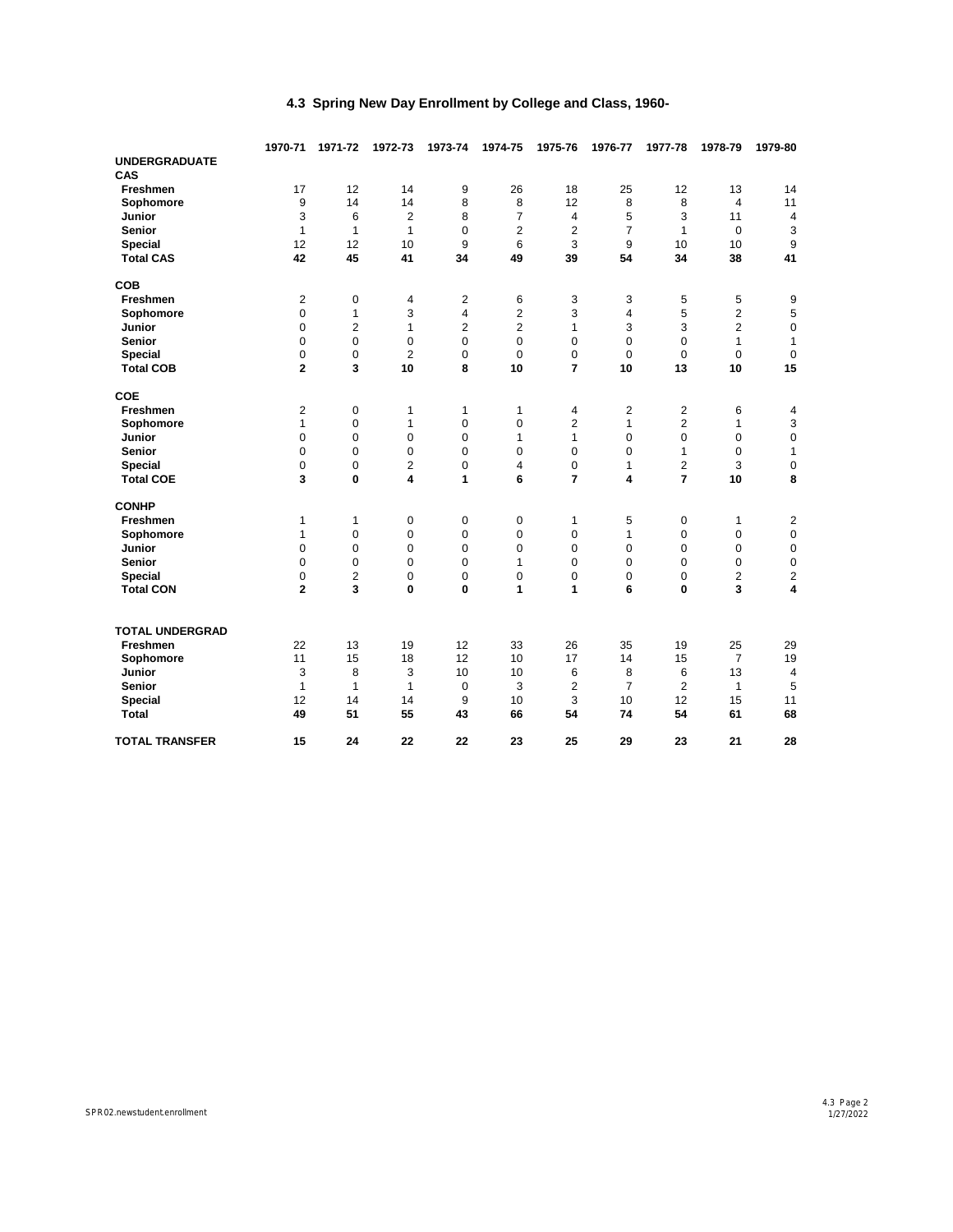|                             | 1970-71        | 1971-72        | 1972-73        | 1973-74        | 1974-75             | 1975-76        | 1976-77        | 1977-78        | 1978-79        | 1979-80                   |
|-----------------------------|----------------|----------------|----------------|----------------|---------------------|----------------|----------------|----------------|----------------|---------------------------|
| <b>UNDERGRADUATE</b><br>CAS |                |                |                |                |                     |                |                |                |                |                           |
| Freshmen                    | 17             | 12             | 14             | 9              | 26                  | 18             | 25             | 12             | 13             | 14                        |
| Sophomore                   | 9              | 14             | 14             | 8              | 8<br>$\overline{7}$ | 12             | 8              | 8              | $\overline{4}$ | 11                        |
| Junior                      | 3              | 6              | $\overline{2}$ | 8              |                     | $\overline{4}$ | 5              | 3              | 11             | 4                         |
| <b>Senior</b>               | $\mathbf{1}$   | $\mathbf{1}$   | $\mathbf{1}$   | $\Omega$       | $\overline{2}$      | $\overline{2}$ | $\overline{7}$ | 1<br>10        | $\mathbf 0$    | 3                         |
| <b>Special</b>              | 12             | 12             | 10             | 9              | 6                   | 3              | 9              |                | 10             | $9\,$                     |
| <b>Total CAS</b>            | 42             | 45             | 41             | 34             | 49                  | 39             | 54             | 34             | 38             | 41                        |
| COB                         |                |                |                |                |                     |                |                |                |                |                           |
| Freshmen                    | 2              | 0              | 4              | $\overline{2}$ | 6                   | 3              | 3              | 5              | 5              | 9                         |
| Sophomore                   | 0              | 1              | 3              | 4              | $\overline{2}$      | 3              | 4              | 5              | $\overline{2}$ | 5                         |
| Junior                      | $\mathbf 0$    | $\overline{2}$ | $\mathbf{1}$   | $\overline{2}$ | $\overline{c}$      | $\mathbf{1}$   | 3              | 3              | $\overline{2}$ | $\mathsf 0$               |
| Senior                      | 0              | $\mathbf 0$    | $\mathbf 0$    | $\mathbf 0$    | 0                   | 0              | $\mathbf 0$    | 0              | $\mathbf{1}$   | $\mathbf{1}$              |
| Special                     | 0              | 0              | $\overline{2}$ | 0              | 0                   | 0              | $\mathbf 0$    | 0              | $\mathbf 0$    | $\pmb{0}$                 |
| <b>Total COB</b>            | $\overline{2}$ | 3              | 10             | 8              | 10                  | $\overline{7}$ | 10             | 13             | 10             | 15                        |
| COE                         |                |                |                |                |                     |                |                |                |                |                           |
| Freshmen                    | $\overline{2}$ | 0              | 1              | 1              | 1                   | 4              | 2              | 2              | 6              | 4                         |
| Sophomore                   | $\mathbf{1}$   | 0              | 1              | 0              | 0                   | $\overline{2}$ | 1              | $\overline{2}$ | $\mathbf{1}$   | $\ensuremath{\mathsf{3}}$ |
| Junior                      | 0              | $\mathbf 0$    | $\mathbf 0$    | $\mathbf 0$    | 1                   | $\mathbf{1}$   | $\mathbf 0$    | $\mathbf 0$    | $\mathbf 0$    | $\pmb{0}$                 |
| <b>Senior</b>               | 0              | $\mathbf 0$    | $\mathbf 0$    | $\mathbf 0$    | 0                   | 0              | 0              | 1              | $\mathbf 0$    | 1                         |
| <b>Special</b>              | $\mathbf 0$    | 0              | $\overline{2}$ | 0              | 4                   | 0              | 1              | 2              | 3              | $\mathsf 0$               |
| <b>Total COE</b>            | 3              | $\mathbf 0$    | 4              | 1              | 6                   | $\overline{7}$ | 4              | $\overline{7}$ | 10             | 8                         |
| <b>CONHP</b>                |                |                |                |                |                     |                |                |                |                |                           |
| Freshmen                    | 1              | 1              | $\mathbf 0$    | 0              | 0                   | 1              | 5              | 0              | $\mathbf{1}$   | $\overline{2}$            |
| Sophomore                   | 1              | 0              | $\mathbf 0$    | 0              | 0                   | 0              | 1              | $\mathbf 0$    | 0              | $\pmb{0}$                 |
| Junior                      | 0              | $\mathbf 0$    | $\mathbf 0$    | $\mathbf 0$    | 0                   | 0              | 0              | $\mathbf 0$    | 0              | $\mathsf 0$               |
| Senior                      | 0              | $\mathbf 0$    | $\mathbf 0$    | 0              | $\mathbf{1}$        | 0              | $\mathbf 0$    | $\mathbf 0$    | 0              | $\pmb{0}$                 |
| Special                     | 0              | $\overline{2}$ | $\mathsf 0$    | 0              | 0                   | 0              | 0              | $\mathbf 0$    | $\overline{2}$ | 2                         |
| <b>Total CON</b>            | $\overline{2}$ | 3              | $\mathbf{0}$   | $\mathbf{0}$   | 1                   | 1              | 6              | $\mathbf{0}$   | 3              | 4                         |
| <b>TOTAL UNDERGRAD</b>      |                |                |                |                |                     |                |                |                |                |                           |
| Freshmen                    | 22             | 13             | 19             | 12             | 33                  | 26             | 35             | 19             | 25             | 29                        |
| Sophomore                   | 11             | 15             | 18             | 12             | 10                  | 17             | 14             | 15             | $\overline{7}$ | 19                        |
| Junior                      | 3              | 8              | 3              | 10             | 10                  | 6              | 8              | 6              | 13             | 4                         |
| <b>Senior</b>               | 1              | $\mathbf{1}$   | 1              | $\mathbf 0$    | 3                   | $\overline{c}$ | $\overline{7}$ | $\overline{2}$ | $\mathbf{1}$   | 5                         |
| Special                     | 12             | 14             | 14             | 9              | 10                  | 3              | 10             | 12             | 15             | 11                        |
| <b>Total</b>                | 49             | 51             | 55             | 43             | 66                  | 54             | 74             | 54             | 61             | 68                        |
| <b>TOTAL TRANSFER</b>       | 15             | 24             | 22             | 22             | 23                  | 25             | 29             | 23             | 21             | 28                        |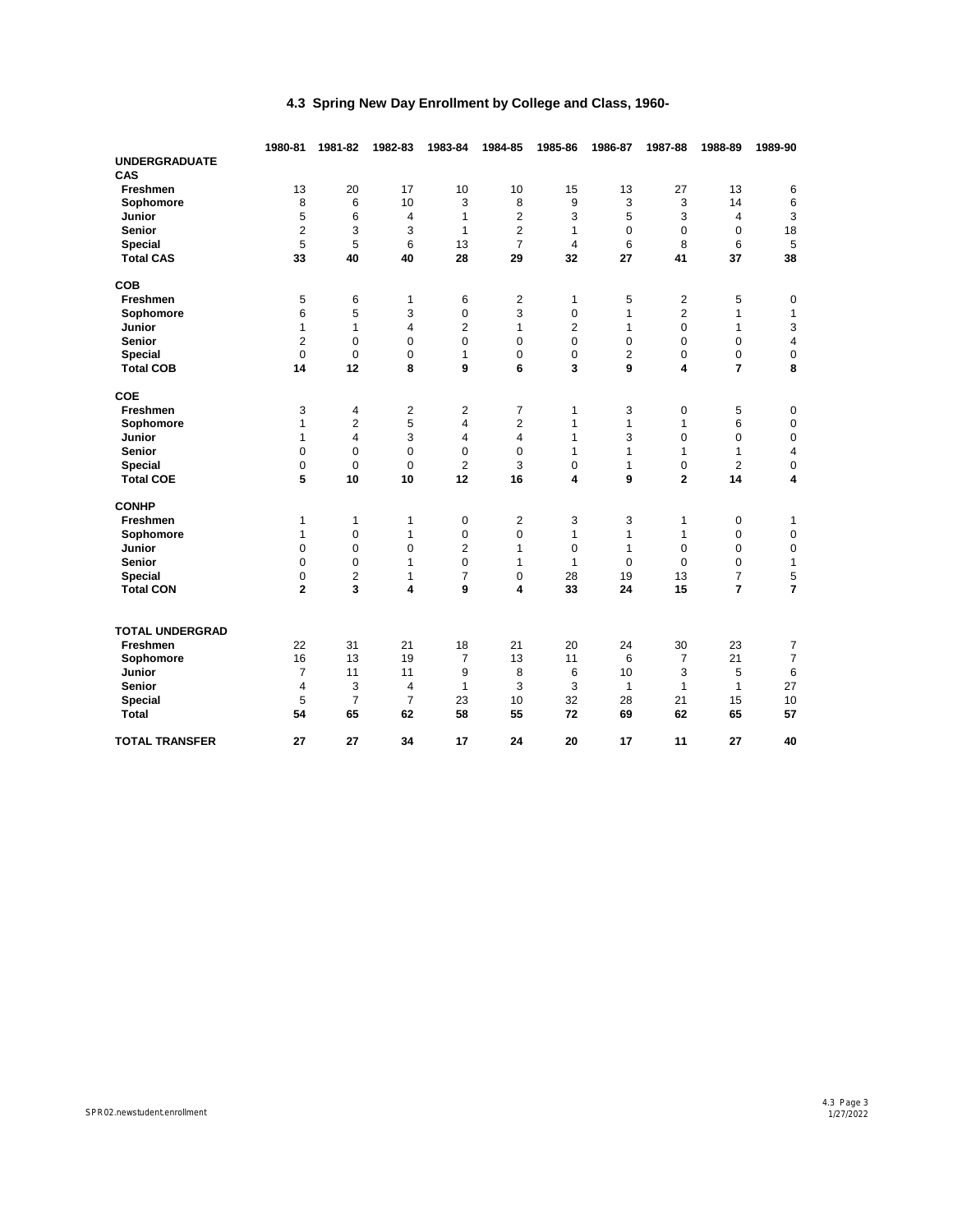|                        | 1980-81        | 1981-82        | 1982-83        | 1983-84        | 1984-85                   | 1985-86             | 1986-87      | 1987-88        | 1988-89        | 1989-90             |
|------------------------|----------------|----------------|----------------|----------------|---------------------------|---------------------|--------------|----------------|----------------|---------------------|
| <b>UNDERGRADUATE</b>   |                |                |                |                |                           |                     |              |                |                |                     |
| CAS                    |                |                |                |                |                           |                     |              |                |                |                     |
| Freshmen               | 13             | 20             | 17             | 10             | 10<br>8<br>$\overline{2}$ | 15                  | 13           | 27             | 13             | 6                   |
| Sophomore              | 8              | 6              | 10             | 3              |                           | 9                   | 3            | 3              | 14             | 6                   |
| Junior                 | 5              | 6              | 4              | $\mathbf{1}$   |                           | 3                   | 5            | 3              | 4              | 3                   |
| <b>Senior</b>          | $\overline{2}$ | 3              | 3              | $\mathbf{1}$   | 2                         | 1<br>$\overline{4}$ | 0            | $\mathbf 0$    | $\mathbf 0$    | 18                  |
| Special                | 5              | 5              | 6              | 13             | $\overline{7}$            |                     | 6            | 8              | 6              | 5                   |
| <b>Total CAS</b>       | 33             | 40             | 40             | 28             | 29                        | 32                  | 27           | 41             | 37             | 38                  |
| <b>COB</b>             |                |                |                |                |                           |                     |              |                |                |                     |
| Freshmen               | 5              | 6              | 1              | 6              | $\overline{c}$            | 1                   | 5            | $\overline{c}$ | 5              | $\mathbf 0$         |
| Sophomore              | 6              | 5              | 3              | 0              | 3                         | 0                   | 1            | 2              | $\mathbf{1}$   | $\mathbf{1}$        |
| Junior                 | 1              | 1              | 4              | $\overline{2}$ | $\mathbf{1}$              | $\overline{2}$      | 1            | 0              | $\mathbf{1}$   | 3                   |
| Senior                 | $\overline{c}$ | $\mathbf 0$    | $\mathbf 0$    | 0              | 0                         | 0                   | 0            | $\mathbf 0$    | 0              | 4                   |
| <b>Special</b>         | 0              | 0              | $\mathbf 0$    | $\mathbf{1}$   | 0                         | 0                   | 2            | 0              | 0              | $\pmb{0}$           |
| <b>Total COB</b>       | 14             | 12             | 8              | 9              | 6                         | 3                   | 9            | 4              | $\overline{7}$ | 8                   |
| COE                    |                |                |                |                |                           |                     |              |                |                |                     |
| Freshmen               | 3              | 4              | $\overline{2}$ | $\overline{2}$ | 7                         | 1                   | 3            | 0              | 5              | $\mathbf 0$         |
| Sophomore              | $\mathbf{1}$   | 2              | 5              | 4              | 2                         | $\mathbf{1}$        | 1            | 1              | 6              | $\mathsf 0$         |
| Junior                 | $\mathbf{1}$   | 4              | 3              | $\overline{4}$ | 4                         | $\mathbf{1}$        | 3            | $\mathbf 0$    | $\mathbf 0$    | $\pmb{0}$           |
| Senior                 | 0              | $\mathbf 0$    | $\mathbf 0$    | 0              | 0                         | $\mathbf{1}$        | 1            | 1              | $\mathbf{1}$   | 4                   |
| <b>Special</b>         | 0              | $\mathbf 0$    | $\mathbf 0$    | $\overline{2}$ | 3                         | 0                   | $\mathbf{1}$ | $\mathbf 0$    | $\overline{2}$ | $\pmb{0}$           |
| <b>Total COE</b>       | 5              | 10             | 10             | 12             | 16                        | 4                   | 9            | $\overline{2}$ | 14             | 4                   |
| <b>CONHP</b>           |                |                |                |                |                           |                     |              |                |                |                     |
| Freshmen               | 1              | 1              | 1              | 0              | $\overline{2}$            | 3                   | 3            | 1              | 0              | 1                   |
| Sophomore              | 1              | $\mathbf 0$    | $\mathbf{1}$   | 0              | 0                         | $\mathbf{1}$        | 1            | $\mathbf{1}$   | $\mathbf 0$    | $\mathbf 0$         |
| <b>Junior</b>          | 0              | $\mathbf 0$    | $\mathbf 0$    | $\overline{2}$ | 1                         | 0                   | 1            | 0              | 0              | $\pmb{0}$           |
| <b>Senior</b>          | 0              | $\mathbf 0$    | $\mathbf{1}$   | $\mathbf 0$    | 1                         | $\mathbf{1}$        | $\mathbf 0$  | 0              | $\mathbf 0$    | $\mathbf{1}$        |
| Special                | 0              | $\overline{2}$ | $\mathbf{1}$   | $\overline{7}$ | 0                         | 28                  | 19           | 13             | $\overline{7}$ | 5                   |
| <b>Total CON</b>       | $\overline{2}$ | 3              | 4              | 9              | 4                         | 33                  | 24           | 15             | $\overline{7}$ | 7                   |
| <b>TOTAL UNDERGRAD</b> |                |                |                |                |                           |                     |              |                |                |                     |
| Freshmen               | 22             | 31             | 21             | 18             | 21                        | 20                  | 24           | 30             | 23             |                     |
| Sophomore              | 16             | 13             | 19             | $\overline{7}$ | 13                        | 11                  | 6            | 7              | 21             | 7<br>$\overline{7}$ |
| Junior                 | $\overline{7}$ | 11             | 11             | 9              | 8                         | 6                   | 10           | 3              | 5              | 6                   |
| <b>Senior</b>          | $\overline{4}$ | 3              | 4              | $\mathbf{1}$   | 3                         | 3                   | 1            | 1              | 1              | 27                  |
| Special                | 5              | $\overline{7}$ | $\overline{7}$ | 23             | 10                        | 32                  | 28           | 21             | 15             | 10                  |
| <b>Total</b>           | 54             | 65             | 62             | 58             | 55                        | 72                  | 69           | 62             | 65             | 57                  |
| <b>TOTAL TRANSFER</b>  | 27             | 27             | 34             | 17             | 24                        | 20                  | 17           | 11             | 27             | 40                  |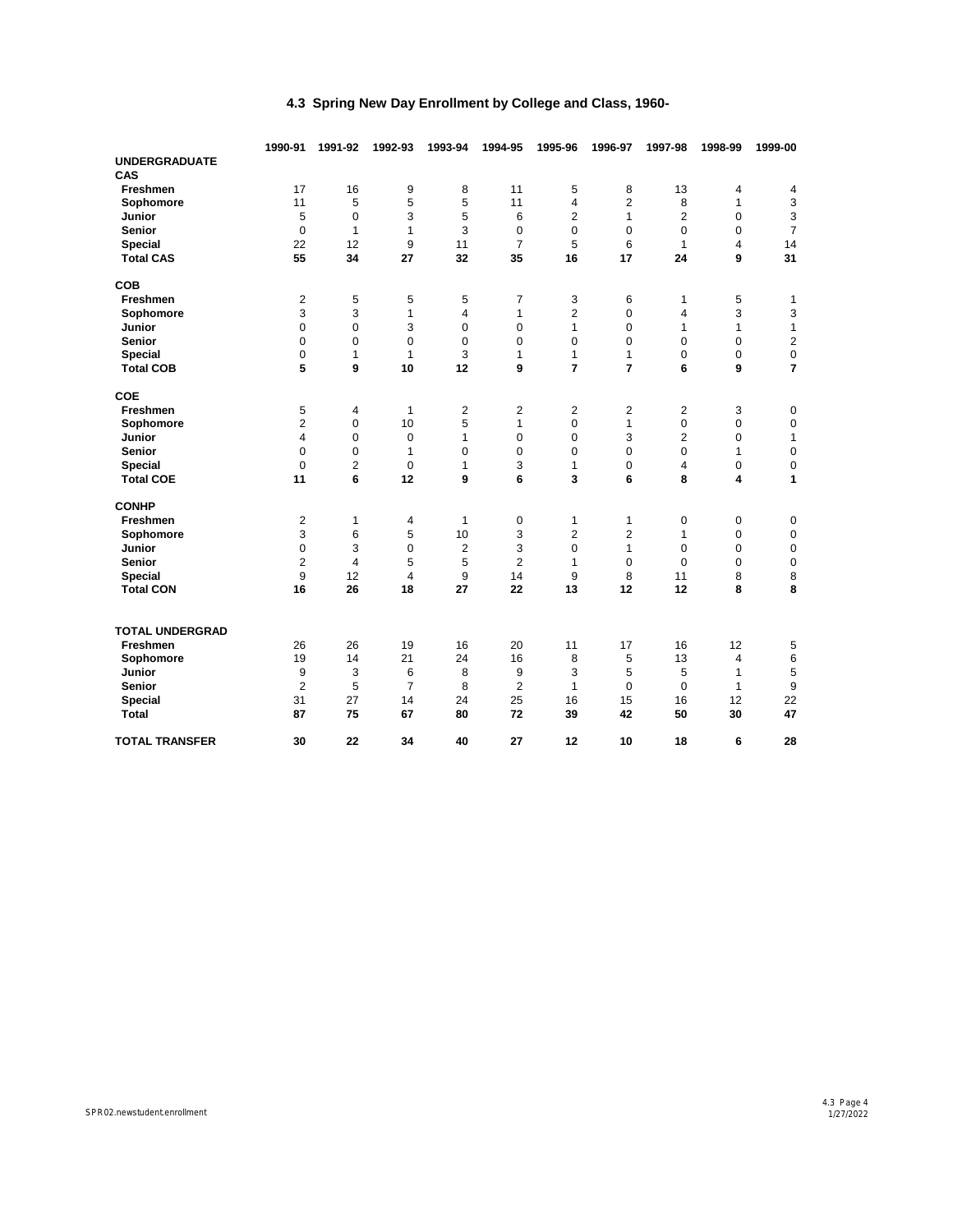|                        | 1990-91        | 1991-92                 | 1992-93        | 1993-94        | 1994-95        | 1995-96        | 1996-97             | 1997-98             | 1998-99           | 1999-00                   |  |
|------------------------|----------------|-------------------------|----------------|----------------|----------------|----------------|---------------------|---------------------|-------------------|---------------------------|--|
| <b>UNDERGRADUATE</b>   |                |                         |                |                |                |                |                     |                     |                   |                           |  |
| CAS<br>Freshmen        | 17             | 16                      |                |                |                |                |                     | 13                  |                   |                           |  |
|                        | 11             | 5                       | 9<br>5         | 8<br>5         | 11<br>11       | 5              | 8<br>$\overline{2}$ |                     | 4<br>$\mathbf{1}$ | 4                         |  |
| Sophomore<br>Junior    | 5              |                         | 3              | 5              |                | $\overline{4}$ |                     | 8<br>$\overline{2}$ |                   | $\ensuremath{\mathsf{3}}$ |  |
|                        |                | $\mathbf 0$             |                |                | 6              | $\overline{2}$ | 1<br>$\mathbf 0$    |                     | $\mathbf 0$       | 3                         |  |
| <b>Senior</b>          | $\mathbf 0$    | 1                       | 1              | 3              | 0              | 0              |                     | $\mathbf 0$         | $\mathbf 0$       | $\overline{7}$            |  |
| Special                | 22             | 12                      | 9              | 11             | $\overline{7}$ | 5              | 6                   | $\mathbf{1}$        | 4                 | 14                        |  |
| <b>Total CAS</b>       | 55             | 34                      | 27             | 32             | 35             | 16             | 17                  | 24                  | 9                 | 31                        |  |
| <b>COB</b>             |                |                         |                |                |                |                |                     |                     |                   |                           |  |
| Freshmen               | 2              | 5                       | 5              | 5              | 7              | 3              | 6                   | 1                   | 5                 | 1                         |  |
| Sophomore              | 3              | 3                       | $\mathbf{1}$   | 4              | 1              | $\overline{2}$ | 0                   | 4                   | 3                 | 3                         |  |
| Junior                 | 0              | $\mathbf 0$             | 3              | 0              | 0              | $\mathbf{1}$   | 0                   | 1                   | $\mathbf{1}$      | $\mathbf{1}$              |  |
| Senior                 | 0              | $\mathbf 0$             | $\mathbf 0$    | $\mathbf 0$    | 0              | 0              | 0                   | 0                   | $\mathbf 0$       | $\overline{c}$            |  |
| Special                | 0              | 1                       | $\mathbf{1}$   | 3              | 1              | $\mathbf{1}$   | 1                   | 0                   | 0                 | $\pmb{0}$                 |  |
| <b>Total COB</b>       | 5              | 9                       | 10             | 12             | 9              | $\overline{7}$ | $\overline{7}$      | 6                   | 9                 | $\overline{7}$            |  |
| COE                    |                |                         |                |                |                |                |                     |                     |                   |                           |  |
| Freshmen               | 5              | 4                       | $\mathbf{1}$   | $\overline{2}$ | $\overline{2}$ | 2              | 2                   | 2                   | 3                 | 0                         |  |
| Sophomore              | 2              | 0                       | 10             | 5              | 1              | 0              | 1                   | 0                   | 0                 | $\pmb{0}$                 |  |
| Junior                 | 4              | $\mathbf 0$             | $\mathbf 0$    | $\mathbf{1}$   | 0              | 0              | 3                   | $\overline{2}$      | $\mathbf 0$       | $\mathbf{1}$              |  |
| Senior                 | 0              | 0                       | $\mathbf{1}$   | 0              | 0              | 0              | 0                   | $\mathbf 0$         | 1                 | $\mathsf 0$               |  |
| <b>Special</b>         | $\mathbf 0$    | $\overline{2}$          | $\mathbf 0$    | $\mathbf{1}$   | 3              | $\mathbf{1}$   | $\mathbf 0$         | 4                   | $\mathbf 0$       | $\pmb{0}$                 |  |
| <b>Total COE</b>       | 11             | 6                       | 12             | 9              | 6              | 3              | 6                   | 8                   | 4                 | 1                         |  |
| <b>CONHP</b>           |                |                         |                |                |                |                |                     |                     |                   |                           |  |
| Freshmen               | 2              | 1                       | 4              | $\mathbf{1}$   | 0              | $\mathbf{1}$   | 1                   | 0                   | 0                 | 0                         |  |
| Sophomore              | 3              | 6                       | 5              | 10             | 3              | $\overline{c}$ | 2                   | $\mathbf{1}$        | 0                 | $\pmb{0}$                 |  |
| Junior                 | 0              | 3                       | $\Omega$       | $\overline{2}$ | 3              | $\Omega$       | 1                   | $\Omega$            | 0                 | $\mathbf 0$               |  |
| Senior                 | $\overline{c}$ | $\overline{\mathbf{4}}$ | 5              | 5              | $\overline{2}$ | $\mathbf{1}$   | $\mathbf 0$         | 0                   | $\mathbf 0$       | $\mathsf 0$               |  |
| <b>Special</b>         | 9              | 12                      | 4              | 9              | 14             | 9              | 8                   | 11                  | 8                 | 8                         |  |
| <b>Total CON</b>       | 16             | 26                      | 18             | 27             | 22             | 13             | 12                  | 12                  | 8                 | 8                         |  |
| <b>TOTAL UNDERGRAD</b> |                |                         |                |                |                |                |                     |                     |                   |                           |  |
| Freshmen               | 26             | 26                      | 19             | 16             | 20             | 11             | 17                  | 16                  | 12                | 5                         |  |
| Sophomore              | 19             | 14                      | 21             | 24             | 16             | 8              | 5                   | 13                  | 4                 | 6                         |  |
| Junior                 | 9              | 3                       | 6              | 8              | 9              | 3              | 5                   | 5                   | $\mathbf{1}$      | 5                         |  |
| <b>Senior</b>          | $\overline{c}$ | 5                       | $\overline{7}$ | 8              | $\overline{2}$ | $\mathbf{1}$   | $\mathbf 0$         | $\mathbf 0$         | 1                 | 9                         |  |
| Special                | 31             | 27                      | 14             | 24             | 25             | 16             | 15                  | 16                  | 12                | 22                        |  |
| <b>Total</b>           | 87             | 75                      | 67             | 80             | 72             | 39             | 42                  | 50                  | 30                | 47                        |  |
|                        |                |                         |                |                |                |                |                     |                     |                   |                           |  |
| <b>TOTAL TRANSFER</b>  | 30             | 22                      | 34             | 40             | 27             | 12             | 10                  | 18                  | 6                 | 28                        |  |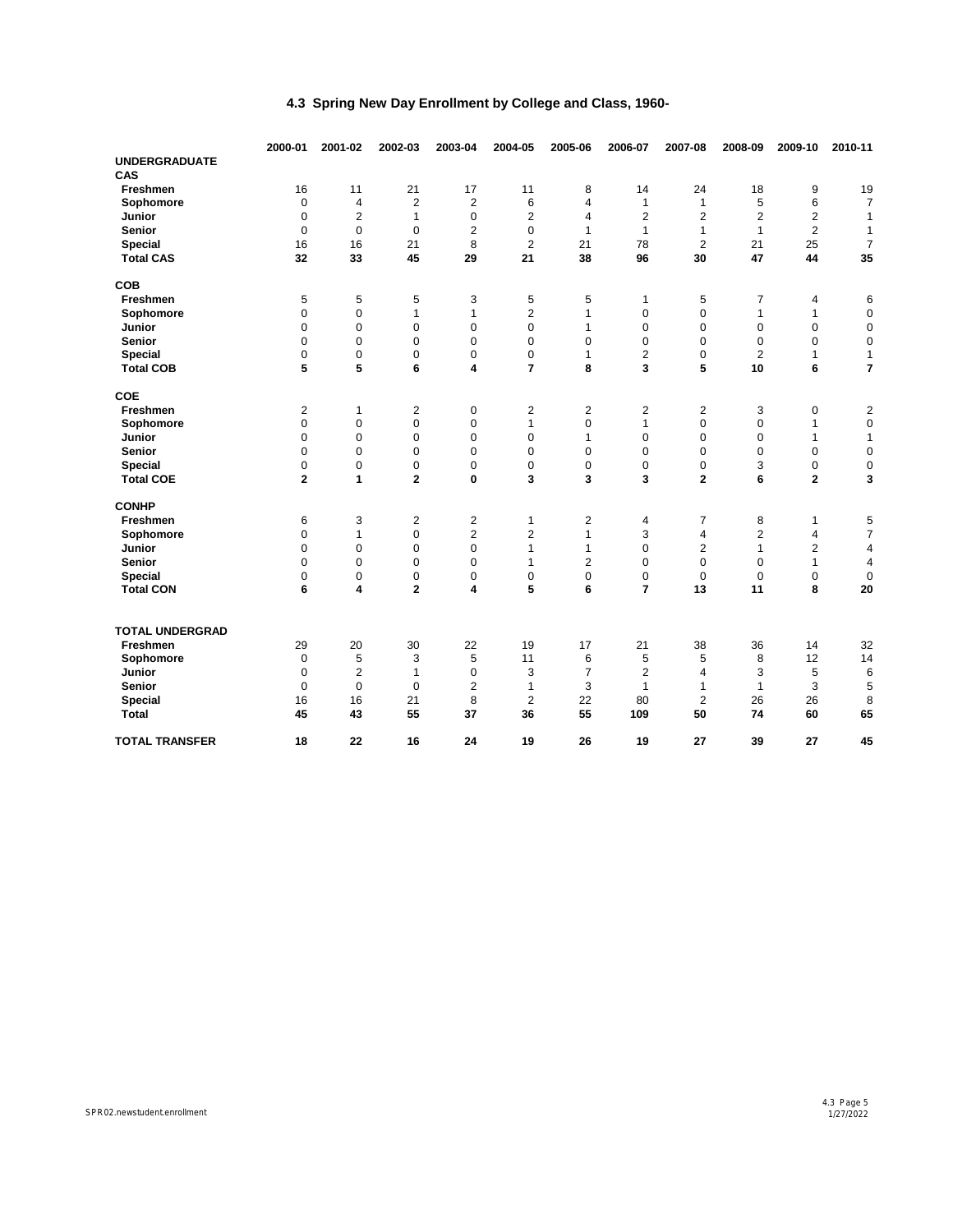|                        | 2000-01                    | 2001-02                 | 2002-03                 | 2003-04        | 2004-05             | 2005-06                  | 2006-07             | 2007-08        | 2008-09        | 2009-10        | 2010-11        |
|------------------------|----------------------------|-------------------------|-------------------------|----------------|---------------------|--------------------------|---------------------|----------------|----------------|----------------|----------------|
| <b>UNDERGRADUATE</b>   |                            |                         |                         |                |                     |                          |                     |                |                |                |                |
| CAS                    |                            |                         |                         |                |                     |                          |                     |                |                |                |                |
| Freshmen               | 16                         | 11                      | 21                      | 17             | 11                  | 8<br>$\overline{4}$<br>4 | 14                  | 24             | 18             | 9              | 19             |
| Sophomore              | $\mathbf 0$                | $\overline{\mathbf{4}}$ | $\overline{2}$          | $\overline{2}$ | 6<br>$\overline{2}$ |                          | $\mathbf{1}$        | 1<br>2         | 5              | 6              | $\overline{7}$ |
| Junior                 | $\mathbf 0$                | $\overline{2}$          | $\mathbf{1}$            | 0              |                     |                          | $\overline{2}$      |                | $\overline{2}$ | 2              | 1              |
| <b>Senior</b>          | $\Omega$                   | $\mathbf 0$             | $\Omega$                | 2              | $\mathbf 0$         | $\mathbf{1}$             | $\mathbf{1}$        | 1              | $\mathbf{1}$   | $\overline{c}$ | 1              |
| <b>Special</b>         | 16                         | 16                      | 21                      | 8              | $\overline{2}$      | 21                       | 78                  | $\overline{2}$ | 21             | 25             | $\overline{7}$ |
| <b>Total CAS</b>       | 32                         | 33                      | 45                      | 29             | 21                  | 38                       | 96                  | 30             | 47             | 44             | 35             |
| COB                    |                            |                         |                         |                |                     |                          |                     |                |                |                |                |
| Freshmen               | 5                          | 5                       | 5                       | 3              | 5                   | 5                        | $\mathbf{1}$        | 5              | 7              | 4              | 6              |
| Sophomore              | $\mathbf 0$                | $\boldsymbol{0}$        | 1                       | 1              | $\overline{c}$      | 1                        | $\mathbf 0$         | 0              | 1              | 1              | $\mathbf 0$    |
| Junior                 | $\mathbf 0$                | $\mathbf 0$             | $\mathbf 0$             | $\mathbf 0$    | $\mathbf 0$         | 1                        | $\mathbf 0$         | 0              | $\mathbf 0$    | $\mathbf 0$    | $\mathbf 0$    |
| Senior                 | $\mathbf 0$                | 0                       | $\mathbf 0$             | $\mathbf 0$    | 0                   | 0                        | $\mathbf 0$         | 0              | 0              | 0              | $\mathbf 0$    |
| <b>Special</b>         | $\mathbf 0$                | 0                       | $\mathbf 0$             | $\mathbf 0$    | 0                   | 1                        | 2                   | 0              | 2              | 1              | $\mathbf{1}$   |
| <b>Total COB</b>       | 5                          | 5                       | 6                       | 4              | $\overline{7}$      | 8                        | 3                   | 5              | 10             | 6              | 7              |
| COE                    |                            |                         |                         |                |                     |                          |                     |                |                |                |                |
| <b>Freshmen</b>        | $\overline{2}$             | 1                       | $\overline{2}$          | 0              | 2                   | $\overline{2}$           | 2                   | 2              | 3              | 0              | $\overline{2}$ |
| Sophomore              | $\mathbf 0$                | $\pmb{0}$               | $\mathbf 0$             | $\mathbf 0$    | $\mathbf{1}$        | 0                        | $\mathbf{1}$        | 0              | $\mathbf 0$    | $\mathbf{1}$   | $\mathbf 0$    |
| Junior                 | $\mathbf 0$                | $\mathbf 0$             | $\mathbf 0$             | $\mathbf 0$    | $\mathbf 0$         | 1                        | $\mathbf 0$         | 0              | 0              | 1              | $\mathbf{1}$   |
| <b>Senior</b>          | $\Omega$                   | $\mathbf 0$             | $\mathbf 0$             | $\Omega$       | $\Omega$            | $\mathbf 0$              | $\mathbf 0$         | 0              | $\mathbf 0$    | $\mathbf 0$    | $\mathbf 0$    |
| Special                | $\mathbf 0$                | $\pmb{0}$               | $\mathbf 0$             | 0              | $\mathbf 0$         | 0                        | $\mathbf 0$         | 0              | 3              | 0              | $\mathbf 0$    |
| <b>Total COE</b>       | 2                          | 1                       | $\mathbf{2}$            | 0              | 3                   | 3                        | 3                   | 2              | 6              | 2              | 3              |
| <b>CONHP</b>           |                            |                         |                         |                |                     |                          |                     |                |                |                |                |
| Freshmen               | 6                          | 3                       | $\overline{\mathbf{c}}$ | $\overline{2}$ | 1                   | $\overline{\mathbf{c}}$  | 4                   | 7              | 8              | 1              | 5              |
| Sophomore              | 0                          | 1                       | 0                       | 2              | $\overline{2}$      | 1                        | 3                   | 4              | 2              | 4              | $\overline{7}$ |
| Junior                 | $\Omega$                   | $\mathbf 0$             | $\Omega$                | $\Omega$       | 1                   | $\mathbf{1}$             | $\Omega$            | 2              | 1              | $\overline{2}$ | $\overline{4}$ |
| <b>Senior</b>          | $\mathbf 0$                | $\pmb{0}$               | $\mathbf 0$             | $\mathbf 0$    | $\mathbf{1}$        | $\overline{2}$           | $\mathbf 0$         | 0              | $\mathbf 0$    | $\mathbf{1}$   | $\overline{4}$ |
| <b>Special</b>         | $\mathbf 0$                | $\mathbf 0$             | $\mathbf 0$             | 0              | 0                   | $\mathbf 0$              | $\mathbf 0$         | 0              | $\mathbf 0$    | 0              | $\mathbf 0$    |
| <b>Total CON</b>       | 6                          | 4                       | $\mathbf 2$             | 4              | 5                   | 6                        | $\overline{7}$      | 13             | 11             | 8              | 20             |
| <b>TOTAL UNDERGRAD</b> |                            |                         |                         |                |                     |                          |                     |                |                |                |                |
| Freshmen               |                            |                         |                         |                |                     |                          |                     |                |                |                |                |
|                        | 29                         | 20                      | 30                      | 22             | 19                  | 17                       | 21                  | 38             | 36             | 14             | 32<br>14       |
| Sophomore<br>Junior    | $\mathbf 0$<br>$\mathbf 0$ | 5<br>2                  | 3<br>$\mathbf{1}$       | 5<br>0         | 11<br>3             | 6<br>$\overline{7}$      | 5<br>$\overline{2}$ | 5<br>4         | 8<br>3         | 12<br>5        |                |
| <b>Senior</b>          | $\Omega$                   | $\mathbf 0$             | $\Omega$                |                | 1                   | 3                        | $\mathbf{1}$        | 1              | $\mathbf{1}$   | 3              | 6              |
| Special                | 16                         | 16                      | 21                      | 2<br>8         | $\overline{2}$      | 22                       | 80                  | $\overline{2}$ | 26             | 26             | 5<br>8         |
| <b>Total</b>           | 45                         | 43                      | 55                      | 37             | 36                  | 55                       | 109                 | 50             | 74             | 60             | 65             |
| <b>TOTAL TRANSFER</b>  | 18                         | 22                      | 16                      | 24             | 19                  | 26                       | 19                  | 27             | 39             | 27             | 45             |
|                        |                            |                         |                         |                |                     |                          |                     |                |                |                |                |